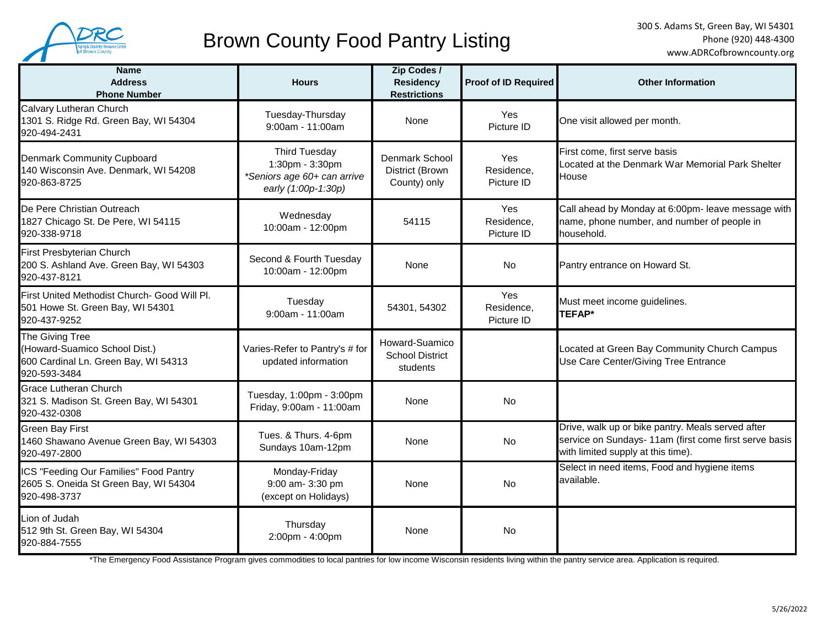

# Brown County Food Pantry Listing

| <b>Name</b><br><b>Address</b><br><b>Phone Number</b>                                                     | <b>Hours</b>                                                                                  | Zip Codes /<br><b>Residency</b><br><b>Restrictions</b> | Proof of ID Required            | <b>Other Information</b>                                                                                                                          |
|----------------------------------------------------------------------------------------------------------|-----------------------------------------------------------------------------------------------|--------------------------------------------------------|---------------------------------|---------------------------------------------------------------------------------------------------------------------------------------------------|
| Calvary Lutheran Church<br>1301 S. Ridge Rd. Green Bay, WI 54304<br>920-494-2431                         | Tuesday-Thursday<br>9:00am - 11:00am                                                          | None                                                   | Yes<br>Picture ID               | One visit allowed per month.                                                                                                                      |
| Denmark Community Cupboard<br>140 Wisconsin Ave. Denmark, WI 54208<br>920-863-8725                       | <b>Third Tuesday</b><br>1:30pm - 3:30pm<br>*Seniors age 60+ can arrive<br>early (1:00p-1:30p) | Denmark School<br>District (Brown<br>County) only      | Yes<br>Residence,<br>Picture ID | First come, first serve basis<br>Located at the Denmark War Memorial Park Shelter<br>House                                                        |
| De Pere Christian Outreach<br>1827 Chicago St. De Pere, WI 54115<br>920-338-9718                         | Wednesday<br>10:00am - 12:00pm                                                                | 54115                                                  | Yes<br>Residence,<br>Picture ID | Call ahead by Monday at 6:00pm- leave message with<br>name, phone number, and number of people in<br>household.                                   |
| First Presbyterian Church<br>200 S. Ashland Ave. Green Bay, WI 54303<br>920-437-8121                     | Second & Fourth Tuesday<br>10:00am - 12:00pm                                                  | None                                                   | <b>No</b>                       | Pantry entrance on Howard St.                                                                                                                     |
| First United Methodist Church- Good Will Pl.<br>501 Howe St. Green Bay, WI 54301<br>920-437-9252         | Tuesday<br>9:00am - 11:00am                                                                   | 54301, 54302                                           | Yes<br>Residence,<br>Picture ID | Must meet income guidelines.<br>TEFAP*                                                                                                            |
| The Giving Tree<br>(Howard-Suamico School Dist.)<br>600 Cardinal Ln. Green Bay, WI 54313<br>920-593-3484 | Varies-Refer to Pantry's # for<br>updated information                                         | Howard-Suamico<br><b>School District</b><br>students   |                                 | Located at Green Bay Community Church Campus<br>Use Care Center/Giving Tree Entrance                                                              |
| <b>Grace Lutheran Church</b><br>321 S. Madison St. Green Bay, WI 54301<br>920-432-0308                   | Tuesday, 1:00pm - 3:00pm<br>Friday, 9:00am - 11:00am                                          | None                                                   | <b>No</b>                       |                                                                                                                                                   |
| <b>Green Bay First</b><br>1460 Shawano Avenue Green Bay, WI 54303<br>920-497-2800                        | Tues. & Thurs. 4-6pm<br>Sundays 10am-12pm                                                     | None                                                   | <b>No</b>                       | Drive, walk up or bike pantry. Meals served after<br>service on Sundays- 11am (first come first serve basis<br>with limited supply at this time). |
| ICS "Feeding Our Families" Food Pantry<br>2605 S. Oneida St Green Bay, WI 54304<br>920-498-3737          | Monday-Friday<br>9:00 am- 3:30 pm<br>(except on Holidays)                                     | None                                                   | <b>No</b>                       | Select in need items, Food and hygiene items<br>available.                                                                                        |
| Lion of Judah<br>512 9th St. Green Bay, WI 54304<br>920-884-7555                                         | Thursday<br>2:00pm - 4:00pm                                                                   | None                                                   | <b>No</b>                       |                                                                                                                                                   |

\*The Emergency Food Assistance Program gives commodities to local pantries for low income Wisconsin residents living within the pantry service area. Application is required.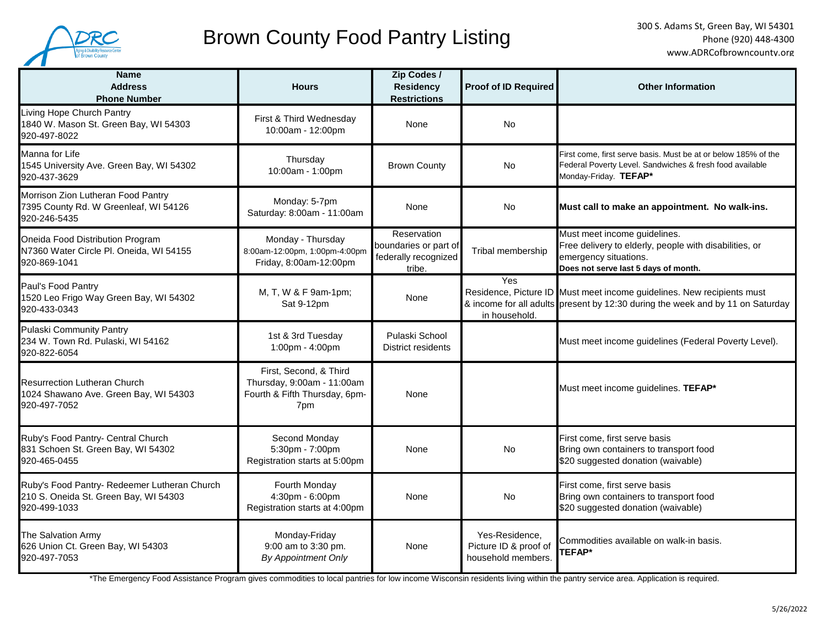

# Brown County Food Pantry Listing

| <b>Name</b><br><b>Address</b><br><b>Phone Number</b>                                                  | <b>Hours</b>                                                                                 | Zip Codes /<br><b>Residency</b><br><b>Restrictions</b>                 | <b>Proof of ID Required</b>                                   | <b>Other Information</b>                                                                                                                                 |
|-------------------------------------------------------------------------------------------------------|----------------------------------------------------------------------------------------------|------------------------------------------------------------------------|---------------------------------------------------------------|----------------------------------------------------------------------------------------------------------------------------------------------------------|
| Living Hope Church Pantry<br>1840 W. Mason St. Green Bay, WI 54303<br>920-497-8022                    | First & Third Wednesday<br>10:00am - 12:00pm                                                 | None                                                                   | No.                                                           |                                                                                                                                                          |
| Manna for Life<br>1545 University Ave. Green Bay, WI 54302<br>920-437-3629                            | Thursday<br>10:00am - 1:00pm                                                                 | <b>Brown County</b>                                                    | No.                                                           | First come, first serve basis. Must be at or below 185% of the<br>Federal Poverty Level. Sandwiches & fresh food available<br>Monday-Friday. TEFAP*      |
| Morrison Zion Lutheran Food Pantry<br>7395 County Rd. W Greenleaf, WI 54126<br>920-246-5435           | Monday: 5-7pm<br>Saturday: 8:00am - 11:00am                                                  | None                                                                   | No                                                            | Must call to make an appointment. No walk-ins.                                                                                                           |
| Oneida Food Distribution Program<br>N7360 Water Circle Pl. Oneida, WI 54155<br>920-869-1041           | Monday - Thursday<br>8:00am-12:00pm, 1:00pm-4:00pm<br>Friday, 8:00am-12:00pm                 | Reservation<br>boundaries or part of<br>federally recognized<br>tribe. | Tribal membership                                             | Must meet income guidelines.<br>Free delivery to elderly, people with disabilities, or<br>emergency situations.<br>Does not serve last 5 days of month.  |
| Paul's Food Pantry<br>1520 Leo Frigo Way Green Bay, WI 54302<br>920-433-0343                          | M, T, W & F 9am-1pm;<br>Sat 9-12pm                                                           | None                                                                   | Yes<br>in household.                                          | Residence, Picture ID Must meet income guidelines. New recipients must<br>& income for all adults present by 12:30 during the week and by 11 on Saturday |
| <b>Pulaski Community Pantry</b><br>234 W. Town Rd. Pulaski, WI 54162<br>920-822-6054                  | 1st & 3rd Tuesday<br>1:00pm - 4:00pm                                                         | Pulaski School<br>District residents                                   |                                                               | Must meet income guidelines (Federal Poverty Level).                                                                                                     |
| <b>Resurrection Lutheran Church</b><br>1024 Shawano Ave. Green Bay, WI 54303<br>920-497-7052          | First, Second, & Third<br>Thursday, 9:00am - 11:00am<br>Fourth & Fifth Thursday, 6pm-<br>7pm | None                                                                   |                                                               | Must meet income guidelines. TEFAP*                                                                                                                      |
| Ruby's Food Pantry- Central Church<br>831 Schoen St. Green Bay, WI 54302<br>920-465-0455              | Second Monday<br>5:30pm - 7:00pm<br>Registration starts at 5:00pm                            | None                                                                   | <b>No</b>                                                     | First come, first serve basis<br>Bring own containers to transport food<br>\$20 suggested donation (waivable)                                            |
| Ruby's Food Pantry- Redeemer Lutheran Church<br>210 S. Oneida St. Green Bay, WI 54303<br>920-499-1033 | Fourth Monday<br>4:30pm - 6:00pm<br>Registration starts at 4:00pm                            | None                                                                   | No.                                                           | First come, first serve basis<br>Bring own containers to transport food<br>\$20 suggested donation (waivable)                                            |
| The Salvation Army<br>626 Union Ct. Green Bay, WI 54303<br>920-497-7053                               | Monday-Friday<br>9:00 am to 3:30 pm.<br>By Appointment Only                                  | None                                                                   | Yes-Residence,<br>Picture ID & proof of<br>household members. | Commodities available on walk-in basis.<br><b>TEFAP*</b>                                                                                                 |

\*The Emergency Food Assistance Program gives commodities to local pantries for low income Wisconsin residents living within the pantry service area. Application is required.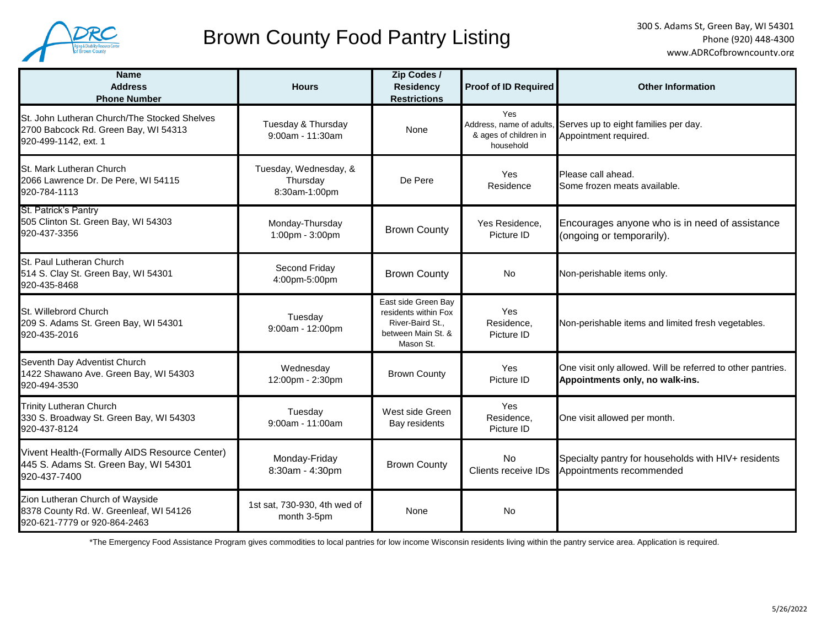

# Brown County Food Pantry Listing

| <b>Name</b><br><b>Address</b><br><b>Phone Number</b>                                                         | <b>Hours</b>                                       | Zip Codes /<br><b>Residency</b><br><b>Restrictions</b>                                             | <b>Proof of ID Required</b>               | <b>Other Information</b>                                                                       |
|--------------------------------------------------------------------------------------------------------------|----------------------------------------------------|----------------------------------------------------------------------------------------------------|-------------------------------------------|------------------------------------------------------------------------------------------------|
| St. John Lutheran Church/The Stocked Shelves<br>2700 Babcock Rd. Green Bay, WI 54313<br>920-499-1142, ext. 1 | Tuesday & Thursday<br>9:00am - 11:30am             | None                                                                                               | Yes<br>& ages of children in<br>household | Address, name of adults, Serves up to eight families per day.<br>Appointment required.         |
| St. Mark Lutheran Church<br>2066 Lawrence Dr. De Pere, WI 54115<br>920-784-1113                              | Tuesday, Wednesday, &<br>Thursday<br>8:30am-1:00pm | De Pere                                                                                            | Yes<br>Residence                          | Please call ahead.<br>Some frozen meats available.                                             |
| St. Patrick's Pantry<br>505 Clinton St. Green Bay, WI 54303<br>920-437-3356                                  | Monday-Thursday<br>1:00pm - 3:00pm                 | <b>Brown County</b>                                                                                | Yes Residence,<br>Picture ID              | Encourages anyone who is in need of assistance<br>(ongoing or temporarily).                    |
| St. Paul Lutheran Church<br>514 S. Clay St. Green Bay, WI 54301<br>920-435-8468                              | Second Friday<br>4:00pm-5:00pm                     | <b>Brown County</b>                                                                                | No                                        | Non-perishable items only.                                                                     |
| St. Willebrord Church<br>209 S. Adams St. Green Bay, WI 54301<br>920-435-2016                                | Tuesday<br>9:00am - 12:00pm                        | East side Green Bay<br>residents within Fox<br>River-Baird St.,<br>between Main St. &<br>Mason St. | Yes<br>Residence,<br>Picture ID           | Non-perishable items and limited fresh vegetables.                                             |
| Seventh Day Adventist Church<br>1422 Shawano Ave. Green Bay, WI 54303<br>920-494-3530                        | Wednesday<br>12:00pm - 2:30pm                      | <b>Brown County</b>                                                                                | Yes<br>Picture ID                         | One visit only allowed. Will be referred to other pantries.<br>Appointments only, no walk-ins. |
| <b>Trinity Lutheran Church</b><br>330 S. Broadway St. Green Bay, WI 54303<br>920-437-8124                    | Tuesday<br>$9:00$ am - 11:00am                     | West side Green<br>Bay residents                                                                   | Yes<br>Residence.<br>Picture ID           | One visit allowed per month.                                                                   |
| Vivent Health-(Formally AIDS Resource Center)<br>445 S. Adams St. Green Bay, WI 54301<br>920-437-7400        | Monday-Friday<br>8:30am - 4:30pm                   | <b>Brown County</b>                                                                                | <b>No</b><br>Clients receive IDs          | Specialty pantry for households with HIV+ residents<br>Appointments recommended                |
| Zion Lutheran Church of Wayside<br>8378 County Rd. W. Greenleaf, WI 54126<br>920-621-7779 or 920-864-2463    | 1st sat, 730-930, 4th wed of<br>month 3-5pm        | None                                                                                               | <b>No</b>                                 |                                                                                                |

\*The Emergency Food Assistance Program gives commodities to local pantries for low income Wisconsin residents living within the pantry service area. Application is required.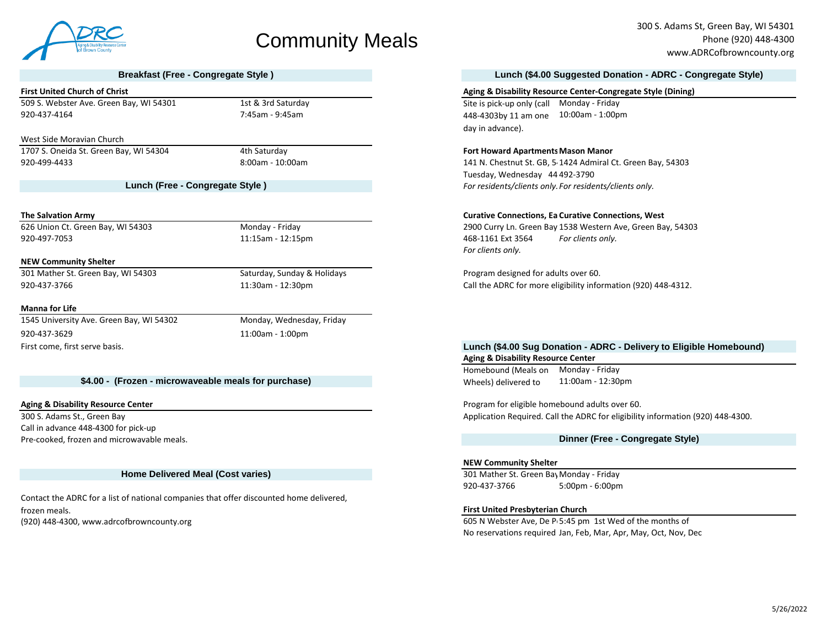

# Community Meals

509 S. Webster Ave. Green Bay, WI 54301 1st & 3rd Saturday 1st & 3rd Saturday Monday - Friday Site is pick-up only (call Monday - Friday

### West Side Moravian Church

1707 S. Oneida St. Green Bay, WI 54304 4th Saturday **Fort Howard ApartmentsMason Manor**

**Lunch (Free - Congregate Style )**

**NEW Community Shelter**

301 Mather St. Green Bay, WI 54303 Saturday, Sunday & Holidays Program designed for adults over 60.

### **Manna for Life**

1545 University Ave. Green Bay, WI 54302 Monday, Wednesday, Friday 920-437-3629 11:00am - 1:00pm First come, first serve basis.

# **\$4.00 - (Frozen - microwaveable meals for purchase)** Wheels) delivered to

Call in advance 448-4300 for pick-up Pre-cooked, frozen and microwavable meals.

## **Home Delivered Meal (Cost varies)**

(920) 448-4300, www.adrcofbrowncounty.org example and the months of the months of the months of Contact the ADRC for a list of national companies that offer discounted home delivered, frozen meals.

300 S. Adams St, Green Bay, WI 54301 Phone (920) 448-4300 www.ADRCofbrowncounty.org

## **Breakfast (Free - Congregate Style ) Lunch (\$4.00 Suggested Donation - ADRC - Congregate Style)**

### **First United Church of Christ Aging & Disability Resource Center-Congregate Style (Dining) Aging & Disability Resource Center-Congregate Style (Dining)**

920-437-4164 7:45am - 9:45am 10:00am - 1:00pm 448-4303by 11 am one day in advance).

920-499-4433 8:00am - 10:00am 141 N. Chestnut St. GB, 54301 1424 Admiral Ct. Green Bay, 54303 Tuesday, Wednesday 44 492-3790 *For residents/clients only. For residents/clients only.* 

### **The Salvation Army Curative Connections, East Curative Connections, East Curative Connections, West**

626 Union Ct. Green Bay, WI 54303 Monday - Friday 2900 Curry Ln. Green Bay, 54311 1538 Western Ave, Green Bay, 54303 920-497-7053 11:15am - 12:15pm 468-1161 Ext 3564 *For clients only. For clients only.* 

920-437-3766 11:30am - 12:30pm Call the ADRC for more eligibility information (920) 448-4312.

# **Aging & Disability Resource Center Lunch (\$4.00 Sug Donation - ADRC - Delivery to Eligible Homebound)**

Homebound (Meals on Monday - Friday 11:00am - 12:30pm

**Aging & Disability Resource Center Program for eligible homebound adults over 60.** Notice that the program for eligible homebound adults over 60. 300 S. Adams St., Green Bay Application Required. Call the ADRC for eligibility information (920) 448-4300.

# **Dinner (Free - Congregate Style)**

### **NEW Community Shelter**

301 Mather St. Green Bay Monday - Friday 920-437-3766 5:00pm - 6:00pm

## **First United Presbyterian Church**

No reservations required Jan, Feb, Mar, Apr, May, Oct, Nov, Dec